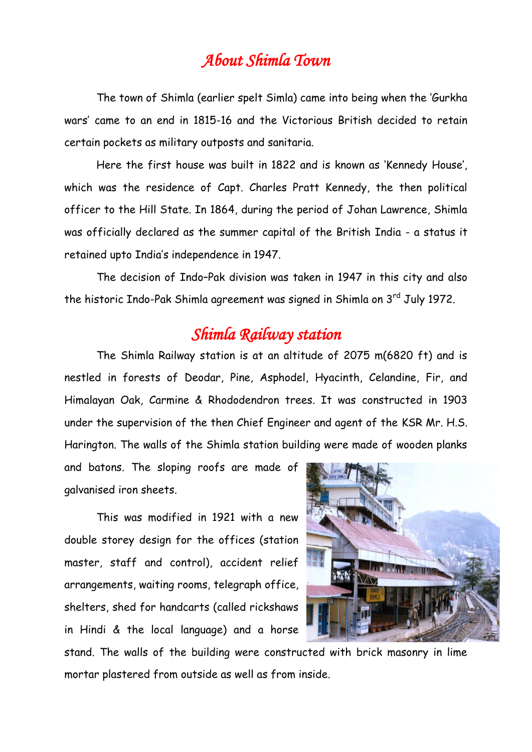## *About Shimla Town*

The town of Shimla (earlier spelt Simla) came into being when the 'Gurkha wars' came to an end in 1815-16 and the Victorious British decided to retain certain pockets as military outposts and sanitaria.

Here the first house was built in 1822 and is known as 'Kennedy House', which was the residence of Capt. Charles Pratt Kennedy, the then political officer to the Hill State. In 1864, during the period of Johan Lawrence, Shimla was officially declared as the summer capital of the British India - a status it retained upto India's independence in 1947.

The decision of Indo–Pak division was taken in 1947 in this city and also the historic Indo-Pak Shimla agreement was signed in Shimla on 3<sup>rd</sup> July 1972.

## *Shimla Railway station*

The Shimla Railway station is at an altitude of 2075 m(6820 ft) and is nestled in forests of Deodar, Pine, Asphodel, Hyacinth, Celandine, Fir, and Himalayan Oak, Carmine & Rhododendron trees. It was constructed in 1903 under the supervision of the then Chief Engineer and agent of the KSR Mr. H.S. Harington. The walls of the Shimla station building were made of wooden planks

and batons. The sloping roofs are made of galvanised iron sheets.

This was modified in 1921 with a new double storey design for the offices (station master, staff and control), accident relief arrangements, waiting rooms, telegraph office, shelters, shed for handcarts (called rickshaws in Hindi & the local language) and a horse



stand. The walls of the building were constructed with brick masonry in lime mortar plastered from outside as well as from inside.